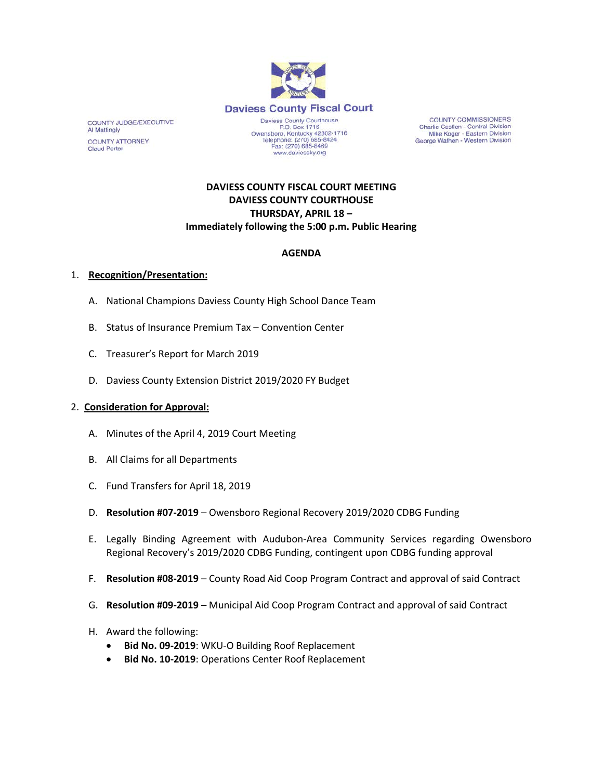

**COUNTY COMMISSIONERS** Charlie Castlen - Central Division<br>Mike Koger - Eastern Division George Wathen - Western Division

# **DAVIESS COUNTY FISCAL COURT MEETING DAVIESS COUNTY COURTHOUSE THURSDAY, APRIL 18 – Immediately following the 5:00 p.m. Public Hearing**

### **AGENDA**

#### 1. **Recognition/Presentation:**

COUNTY JUDGE/EXECUTIVE

**COUNTY ATTORNEY Claud Porter** 

Al Mattingly

- A. National Champions Daviess County High School Dance Team
- B. Status of Insurance Premium Tax Convention Center
- C. Treasurer's Report for March 2019
- D. Daviess County Extension District 2019/2020 FY Budget

#### 2. **Consideration for Approval:**

- A. Minutes of the April 4, 2019 Court Meeting
- B. All Claims for all Departments
- C. Fund Transfers for April 18, 2019
- D. **Resolution #07-2019**  Owensboro Regional Recovery 2019/2020 CDBG Funding
- E. Legally Binding Agreement with Audubon-Area Community Services regarding Owensboro Regional Recovery's 2019/2020 CDBG Funding, contingent upon CDBG funding approval
- F. **Resolution #08-2019**  County Road Aid Coop Program Contract and approval of said Contract
- G. **Resolution #09-2019**  Municipal Aid Coop Program Contract and approval of said Contract
- H. Award the following:
	- **Bid No. 09-2019**: WKU-O Building Roof Replacement
	- **Bid No. 10-2019**: Operations Center Roof Replacement